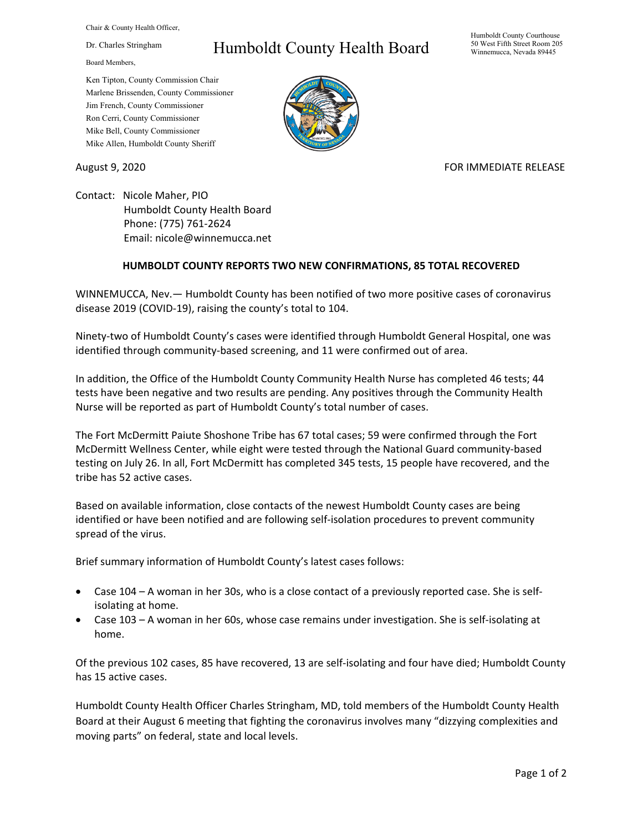Chair & County Health Officer,

Dr. Charles Stringham

Board Members,

## Humboldt County Health Board

Humboldt County Courthouse 50 West Fifth Street Room 205 Winnemucca, Nevada 89445

Ken Tipton, County Commission Chair Marlene Brissenden, County Commissioner Jim French, County Commissioner Ron Cerri, County Commissioner Mike Bell, County Commissioner Mike Allen, Humboldt County Sheriff

August 9, 2020 **FOR IMMEDIATE RELEASE** 

Contact: Nicole Maher, PIO Humboldt County Health Board Phone: (775) 761-2624 Email: nicole@winnemucca.net

## **HUMBOLDT COUNTY REPORTS TWO NEW CONFIRMATIONS, 85 TOTAL RECOVERED**

WINNEMUCCA, Nev.— Humboldt County has been notified of two more positive cases of coronavirus disease 2019 (COVID-19), raising the county's total to 104.

Ninety-two of Humboldt County's cases were identified through Humboldt General Hospital, one was identified through community-based screening, and 11 were confirmed out of area.

In addition, the Office of the Humboldt County Community Health Nurse has completed 46 tests; 44 tests have been negative and two results are pending. Any positives through the Community Health Nurse will be reported as part of Humboldt County's total number of cases.

The Fort McDermitt Paiute Shoshone Tribe has 67 total cases; 59 were confirmed through the Fort McDermitt Wellness Center, while eight were tested through the National Guard community-based testing on July 26. In all, Fort McDermitt has completed 345 tests, 15 people have recovered, and the tribe has 52 active cases.

Based on available information, close contacts of the newest Humboldt County cases are being identified or have been notified and are following self-isolation procedures to prevent community spread of the virus.

Brief summary information of Humboldt County's latest cases follows:

- Case 104 A woman in her 30s, who is a close contact of a previously reported case. She is selfisolating at home.
- Case 103 A woman in her 60s, whose case remains under investigation. She is self-isolating at home.

Of the previous 102 cases, 85 have recovered, 13 are self-isolating and four have died; Humboldt County has 15 active cases.

Humboldt County Health Officer Charles Stringham, MD, told members of the Humboldt County Health Board at their August 6 meeting that fighting the coronavirus involves many "dizzying complexities and moving parts" on federal, state and local levels.